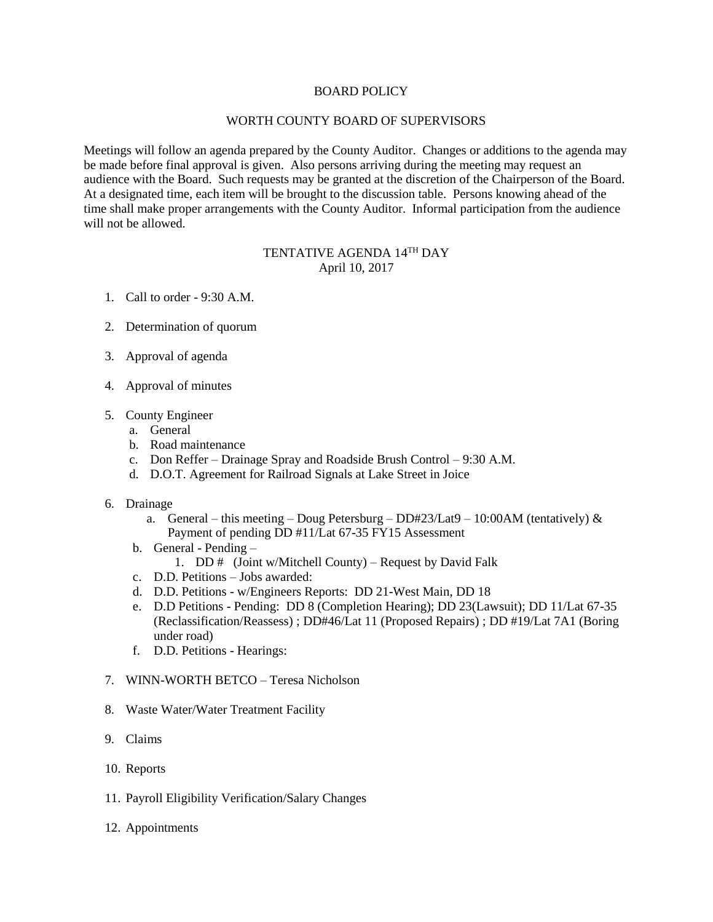# BOARD POLICY

### WORTH COUNTY BOARD OF SUPERVISORS

Meetings will follow an agenda prepared by the County Auditor. Changes or additions to the agenda may be made before final approval is given. Also persons arriving during the meeting may request an audience with the Board. Such requests may be granted at the discretion of the Chairperson of the Board. At a designated time, each item will be brought to the discussion table. Persons knowing ahead of the time shall make proper arrangements with the County Auditor. Informal participation from the audience will not be allowed.

# TENTATIVE AGENDA 14<sup>th</sup> DAY April 10, 2017

- 1. Call to order 9:30 A.M.
- 2. Determination of quorum
- 3. Approval of agenda
- 4. Approval of minutes
- 5. County Engineer
	- a. General
	- b. Road maintenance
	- c. Don Reffer Drainage Spray and Roadside Brush Control 9:30 A.M.
	- d. D.O.T. Agreement for Railroad Signals at Lake Street in Joice
- 6. Drainage
	- a. General this meeting Doug Petersburg DD#23/Lat9 10:00AM (tentatively)  $\&$ Payment of pending DD #11/Lat 67-35 FY15 Assessment
	- b. General Pending
		- 1. DD # (Joint w/Mitchell County) Request by David Falk
	- c. D.D. Petitions Jobs awarded:
	- d. D.D. Petitions w/Engineers Reports: DD 21-West Main, DD 18
	- e. D.D Petitions Pending: DD 8 (Completion Hearing); DD 23(Lawsuit); DD 11/Lat 67-35 (Reclassification/Reassess) ; DD#46/Lat 11 (Proposed Repairs) ; DD #19/Lat 7A1 (Boring under road)
	- f. D.D. Petitions Hearings:
- 7. WINN-WORTH BETCO Teresa Nicholson
- 8. Waste Water/Water Treatment Facility
- 9. Claims
- 10. Reports
- 11. Payroll Eligibility Verification/Salary Changes
- 12. Appointments